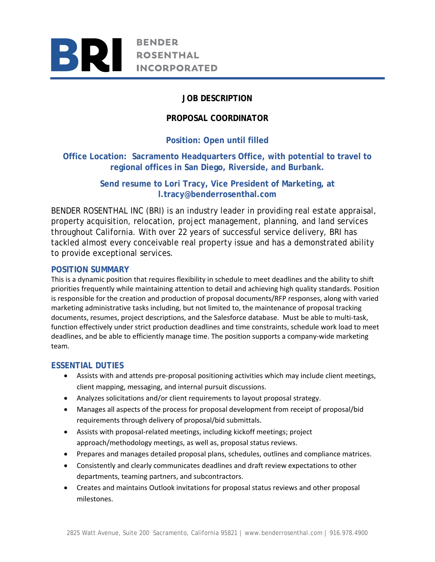

# **JOB DESCRIPTION**

# **PROPOSAL COORDINATOR**

# **Position: Open until filled**

# **Office Location: Sacramento Headquarters Office, with potential to travel to regional offices in San Diego, Riverside, and Burbank.**

# **Send resume to Lori Tracy, Vice President of Marketing, at l.tracy@benderrosenthal.com**

BENDER ROSENTHAL INC (BRI) is an industry leader in providing real estate appraisal, property acquisition, relocation, project management, planning, and land services throughout California. With over 22 years of successful service delivery, BRI has tackled almost every conceivable real property issue and has a demonstrated ability to provide exceptional services.

### **POSITION SUMMARY**

This is a dynamic position that requires flexibility in schedule to meet deadlines and the ability to shift priorities frequently while maintaining attention to detail and achieving high quality standards. Position is responsible for the creation and production of proposal documents/RFP responses, along with varied marketing administrative tasks including, but not limited to, the maintenance of proposal tracking documents, resumes, project descriptions, and the Salesforce database. Must be able to multi‐task, function effectively under strict production deadlines and time constraints, schedule work load to meet deadlines, and be able to efficiently manage time. The position supports a company‐wide marketing team.

### **ESSENTIAL DUTIES**

- Assists with and attends pre-proposal positioning activities which may include client meetings, client mapping, messaging, and internal pursuit discussions.
- Analyzes solicitations and/or client requirements to layout proposal strategy.
- Manages all aspects of the process for proposal development from receipt of proposal/bid requirements through delivery of proposal/bid submittals.
- Assists with proposal-related meetings, including kickoff meetings; project approach/methodology meetings, as well as, proposal status reviews.
- Prepares and manages detailed proposal plans, schedules, outlines and compliance matrices.
- Consistently and clearly communicates deadlines and draft review expectations to other departments, teaming partners, and subcontractors.
- Creates and maintains Outlook invitations for proposal status reviews and other proposal milestones.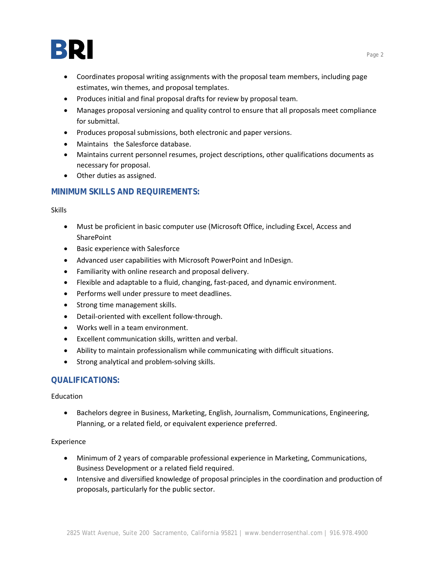

- Coordinates proposal writing assignments with the proposal team members, including page estimates, win themes, and proposal templates.
- Produces initial and final proposal drafts for review by proposal team.
- Manages proposal versioning and quality control to ensure that all proposals meet compliance for submittal.
- Produces proposal submissions, both electronic and paper versions.
- Maintains the Salesforce database.
- Maintains current personnel resumes, project descriptions, other qualifications documents as necessary for proposal.
- Other duties as assigned.

### **MINIMUM SKILLS AND REQUIREMENTS:**

Skills

- Must be proficient in basic computer use (Microsoft Office, including Excel, Access and **SharePoint**
- Basic experience with Salesforce
- Advanced user capabilities with Microsoft PowerPoint and InDesign.
- Familiarity with online research and proposal delivery.
- Flexible and adaptable to a fluid, changing, fast‐paced, and dynamic environment.
- Performs well under pressure to meet deadlines.
- Strong time management skills.
- Detail-oriented with excellent follow-through.
- Works well in a team environment.
- Excellent communication skills, written and verbal.
- Ability to maintain professionalism while communicating with difficult situations.
- Strong analytical and problem-solving skills.

### **QUALIFICATIONS:**

Education

 Bachelors degree in Business, Marketing, English, Journalism, Communications, Engineering, Planning, or a related field, or equivalent experience preferred.

#### Experience

- Minimum of 2 years of comparable professional experience in Marketing, Communications, Business Development or a related field required.
- Intensive and diversified knowledge of proposal principles in the coordination and production of proposals, particularly for the public sector.